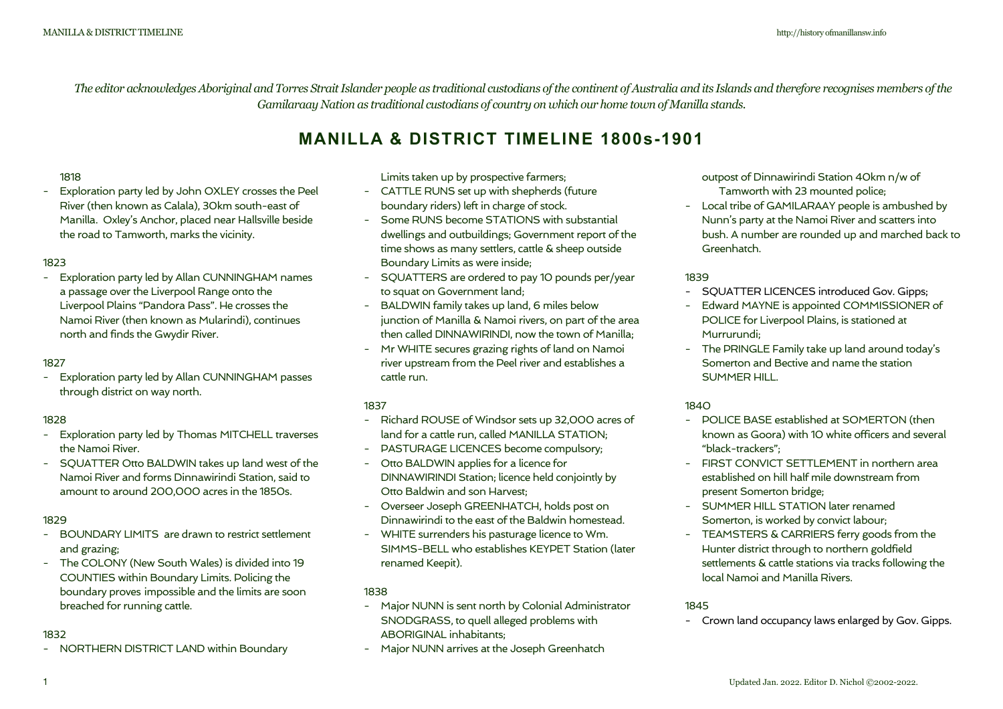*The editor acknowledges Aboriginal and Torres Strait Islander people as traditional custodians of the continent of Australia and its Islands and therefore recognises members of the Gamilaraay Nation as traditional custodians of country on which our home town of Manilla stands.* 

# **MANILLA & DISTRICT TIMELINE 1800s-1901**

#### 1818

- Exploration party led by John OXLEY crosses the Peel River (then known as Calala), 30km south-east of Manilla. Oxley's Anchor, placed near Hallsville beside the road to Tamworth, marks the vicinity.

#### 1823

- Exploration party led by Allan CUNNINGHAM names a passage over the Liverpool Range onto the Liverpool Plains "Pandora Pass". He crosses the Namoi River (then known as Mularindi), continues north and finds the Gwydir River.

#### 1827

- Exploration party led by Allan CUNNINGHAM passes through district on way north.

## 1828

- Exploration party led by Thomas MITCHELL traverses the Namoi River.
- SQUATTER Otto BALDWIN takes up land west of the Namoi River and forms Dinnawirindi Station, said to amount to around 200,000 acres in the 1850s.

#### 1829

- BOUNDARY LIMITS are drawn to restrict settlement and grazing;
- The COLONY (New South Wales) is divided into 19 COUNTIES within Boundary Limits. Policing the boundary proves impossible and the limits are soon breached for running cattle.

#### 1832

- NORTHERN DISTRICT LAND within Boundary 

Limits taken up by prospective farmers;

- CATTLE RUNS set up with shepherds (future boundary riders) left in charge of stock.
- Some RUNS become STATIONS with substantial dwellings and outbuildings; Government report of the time shows as many settlers, cattle & sheep outside Boundary Limits as were inside;
- SQUATTERS are ordered to pay 10 pounds per/year to squat on Government land;
- BALDWIN family takes up land, 6 miles below junction of Manilla & Namoi rivers, on part of the area then called DINNAWIRINDI, now the town of Manilla;
- Mr WHITE secures grazing rights of land on Namoi river upstream from the Peel river and establishes a cattle run.

#### 1837

- Richard ROUSE of Windsor sets up 32,000 acres of land for a cattle run, called MANILLA STATION;
- PASTURAGE LICENCES become compulsory;
- Otto BALDWIN applies for a licence for DINNAWIRINDI Station; licence held conjointly by Otto Baldwin and son Harvest;
- Overseer Joseph GREENHATCH, holds post on Dinnawirindi to the east of the Baldwin homestead.
- WHITE surrenders his pasturage licence to Wm. SIMMS-BELL who establishes KEYPET Station (later renamed Keepit).

#### 1838

- Major NUNN is sent north by Colonial Administrator SNODGRASS, to quell alleged problems with ABORIGINAL inhabitants;
- Major NUNN arrives at the Joseph Greenhatch

outpost of Dinnawirindi Station 40km n/w of Tamworth with 23 mounted police;

- Local tribe of GAMILARAAY people is ambushed by Nunn's party at the Namoi River and scatters into bush. A number are rounded up and marched back to Greenhatch.

#### 1839

- SQUATTER LICENCES introduced Gov. Gipps;
- Edward MAYNE is appointed COMMISSIONER of POLICE for Liverpool Plains, is stationed at Murrurundi;
- The PRINGLE Family take up land around today's Somerton and Bective and name the station SUMMER HILL.

#### 1840

- POLICE BASE established at SOMERTON (then known as Goora) with 10 white officers and several "black-trackers";
- FIRST CONVICT SETTI EMENT in northern area established on hill half mile downstream from present Somerton bridge;
- SUMMER HILL STATION later renamed Somerton, is worked by convict labour;
- TEAMSTERS & CARRIERS ferry goods from the Hunter district through to northern goldfield settlements & cattle stations via tracks following the local Namoi and Manilla Rivers.

#### 1845

- Crown land occupancy laws enlarged by Gov. Gipps.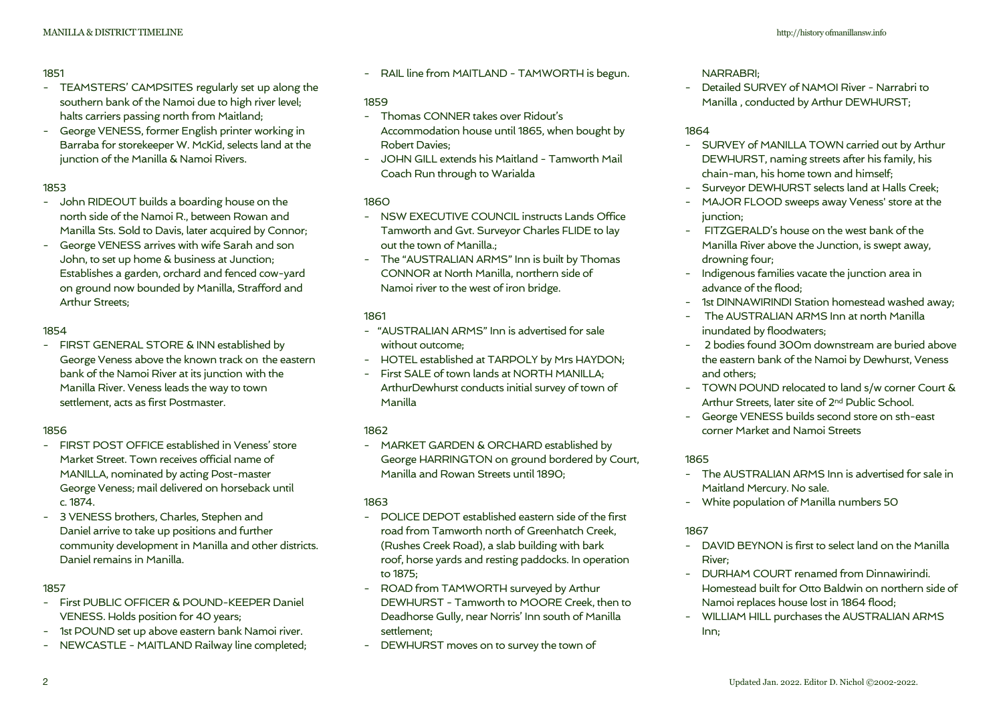## 1851

- TEAMSTERS' CAMPSITES regularly set up along the southern bank of the Namoi due to high river level; halts carriers passing north from Maitland;
- George VENESS, former English printer working in Barraba for storekeeper W. McKid, selects land at the junction of the Manilla & Namoi Rivers.

## 1853

- John RIDEOUT builds a boarding house on the north side of the Namoi R., between Rowan and Manilla Sts. Sold to Davis, later acquired by Connor;
- George VENESS arrives with wife Sarah and son John, to set up home & business at Junction; Establishes a garden, orchard and fenced cow-yard on ground now bounded by Manilla, Strafford and Arthur Streets;

## 1854

- FIRST GENERAL STORE & INN established by George Veness above the known track on the eastern bank of the Namoi River at its junction with the Manilla River. Veness leads the way to town settlement, acts as first Postmaster.

## 1856

- FIRST POST OFFICE established in Veness' store Market Street. Town receives official name of MANILLA, nominated by acting Post-master George Veness; mail delivered on horseback until c. 1874.
- 3 VENESS brothers, Charles, Stephen and Daniel arrive to take up positions and further community development in Manilla and other districts. Daniel remains in Manilla.

## 1857

- First PUBLIC OFFICER & POUND-KEEPER Daniel VENESS. Holds position for 40 years;
- 1st POUND set up above eastern bank Namoi river.
- NEWCASTLE MAITLAND Railway line completed;

- RAIL line from MAITLAND - TAMWORTH is begun.

## 1859

- Thomas CONNER takes over Ridout's Accommodation house until 1865, when bought by Robert Davies;
- JOHN GILL extends his Maitland Tamworth Mail Coach Run through to Warialda

## 1860

- NSW EXECUTIVE COUNCIL instructs Lands Office Tamworth and Gvt. Surveyor Charles FLIDE to lay out the town of Manilla.;
- The "AUSTRALIAN ARMS" Inn is built by Thomas CONNOR at North Manilla, northern side of Namoi river to the west of iron bridge.

## 1861

- "AUSTRALIAN ARMS" Inn is advertised for sale without outcome;
- HOTEL established at TARPOLY by Mrs HAYDON;
- First SALE of town lands at NORTH MANILLA; ArthurDewhurst conducts initial survey of town of Manilla

## 1862

- MARKET GARDEN & ORCHARD established by George HARRINGTON on ground bordered by Court, Manilla and Rowan Streets until 1890;

## 1863

- POLICE DEPOT established eastern side of the first road from Tamworth north of Greenhatch Creek, (Rushes Creek Road), a slab building with bark roof, horse yards and resting paddocks. In operation to 1875;
- ROAD from TAMWORTH surveyed by Arthur DEWHURST - Tamworth to MOORE Creek, then to Deadhorse Gully, near Norris' Inn south of Manilla settlement;
- DEWHURST moves on to survey the town of

## NARRABRI;

- Detailed SURVEY of NAMOI River - Narrabri to Manilla , conducted by Arthur DEWHURST;

## 1864

- SURVEY of MANILLA TOWN carried out by Arthur DEWHURST, naming streets after his family, his chain-man, his home town and himself;
- Surveyor DEWHURST selects land at Halls Creek;
- MAJOR FLOOD sweeps away Veness' store at the junction:
- FITZGERALD's house on the west bank of the Manilla River above the Junction, is swept away, drowning four;
- Indigenous families vacate the junction area in advance of the flood;
- 1st DINNAWIRINDI Station homestead washed away;
- The AUSTRALIAN ARMS Inn at north Manilla inundated by floodwaters;
- 2 bodies found 300m downstream are buried above the eastern bank of the Namoi by Dewhurst, Veness and others;
- TOWN POUND relocated to land s/w corner Court & Arthur Streets, later site of 2nd Public School.
- George VENESS builds second store on sth-east corner Market and Namoi Streets

## 1865

- The AUSTRALIAN ARMS Inn is advertised for sale in Maitland Mercury. No sale.
- White population of Manilla numbers 50

## 1867

- DAVID BEYNON is first to select land on the Manilla River;
- DURHAM COURT renamed from Dinnawirindi. Homestead built for Otto Baldwin on northern side of Namoi replaces house lost in 1864 flood;
- WILLIAM HILL purchases the AUSTRALIAN ARMS Inn;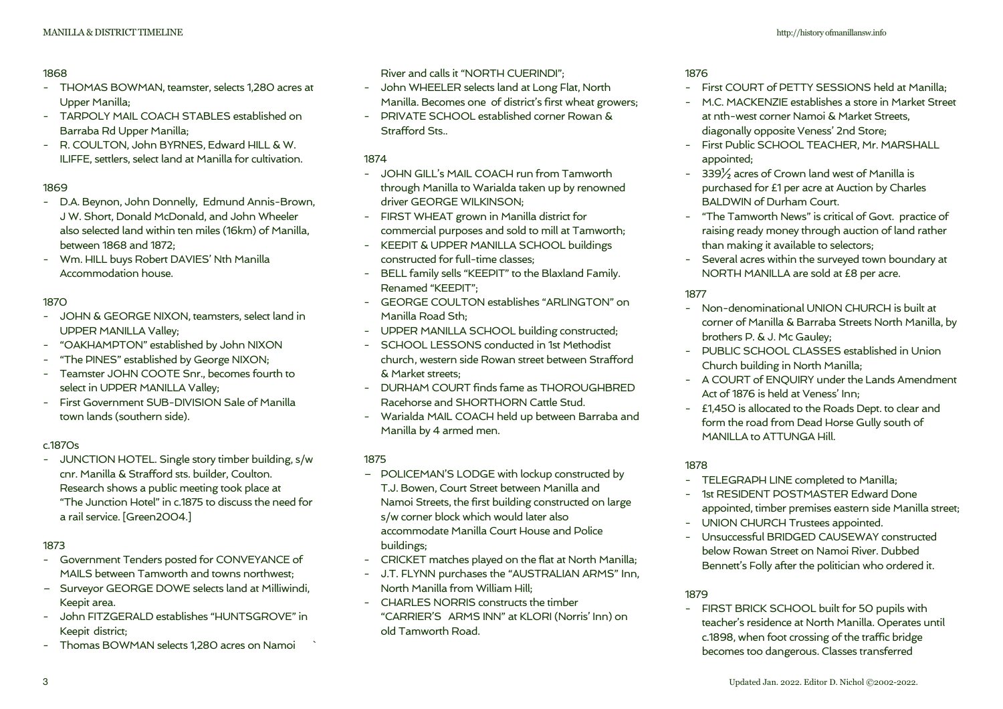#### 1868

- THOMAS BOWMAN, teamster, selects 1,280 acres at Upper Manilla;
- TARPOLY MAIL COACH STABLES established on Barraba Rd Upper Manilla;
- R. COULTON, John BYRNES, Edward HILL & W. ILIFFE, settlers, select land at Manilla for cultivation.

## 1869

- D.A. Beynon, John Donnelly, Edmund Annis-Brown, J W. Short, Donald McDonald, and John Wheeler also selected land within ten miles (16km) of Manilla, between 1868 and 1872;
- Wm. HILL buys Robert DAVIES' Nth Manilla Accommodation house.

## 1870

- JOHN & GEORGE NIXON, teamsters, select land in UPPER MANILLA Valley;
- "OAKHAMPTON" established by John NIXON
- "The PINES" established by George NIXON;
- Teamster JOHN COOTE Snr., becomes fourth to select in UPPER MANILLA Valley;
- First Government SUB-DIVISION Sale of Manilla town lands (southern side).

## c.1870s

- JUNCTION HOTEL. Single story timber building, s/w cnr. Manilla & Strafford sts. builder, Coulton. Research shows a public meeting took place at "The Junction Hotel" in c.1875 to discuss the need for a rail service. [Green2004.]

## 1873

- Government Tenders posted for CONVEYANCE of MAILS between Tamworth and towns northwest;
- Surveyor GEORGE DOWE selects land at Milliwindi, Keepit area.
- John FITZGERALD establishes "HUNTSGROVE" in Keepit district;
- Thomas BOWMAN selects 1,280 acres on Namoi

River and calls it "NORTH CUERINDI";

- John WHEELER selects land at Long Flat, North Manilla. Becomes one of district's first wheat growers;
- PRIVATE SCHOOL established corner Rowan & Strafford Sts..

## 1874

- JOHN GILL's MAIL COACH run from Tamworth through Manilla to Warialda taken up by renowned driver GEORGE WILKINSON;
- FIRST WHEAT grown in Manilla district for commercial purposes and sold to mill at Tamworth;
- KEEPIT & UPPER MANILLA SCHOOL buildings constructed for full-time classes;
- BELL family sells "KEEPIT" to the Blaxland Family. Renamed "KEEPIT";
- GEORGE COULTON establishes "ARLINGTON" on Manilla Road Sth;
- UPPER MANILLA SCHOOL building constructed;
- SCHOOL LESSONS conducted in 1st Methodist church, western side Rowan street between Strafford & Market streets;
- DURHAM COURT finds fame as THOROUGHBRED Racehorse and SHORTHORN Cattle Stud.
- Warialda MAIL COACH held up between Barraba and Manilla by 4 armed men.

## 1875

- POLICEMAN'S LODGE with lockup constructed by T.J. Bowen, Court Street between Manilla and Namoi Streets, the first building constructed on large s/w corner block which would later also accommodate Manilla Court House and Police buildings;
- CRICKET matches played on the flat at North Manilla;
- J.T. FLYNN purchases the "AUSTRALIAN ARMS" Inn, North Manilla from William Hill;
- CHARLES NORRIS constructs the timber "CARRIER'S ARMS INN" at KLORI (Norris' Inn) on old Tamworth Road.

## 1876

- First COURT of PETTY SESSIONS held at Manilla;
- M.C. MACKENZIE establishes a store in Market Street at nth-west corner Namoi & Market Streets, diagonally opposite Veness' 2nd Store;
- First Public SCHOOL TEACHER, Mr. MARSHALL appointed;
- 339½ acres of Crown land west of Manilla is purchased for £1 per acre at Auction by Charles BALDWIN of Durham Court.
- "The Tamworth News" is critical of Govt. practice of raising ready money through auction of land rather than making it available to selectors;
- Several acres within the surveyed town boundary at NORTH MANILLA are sold at £8 per acre.

## 1877

- Non-denominational UNION CHURCH is built at corner of Manilla & Barraba Streets North Manilla, by brothers P. & J. Mc Gauley;
- PUBLIC SCHOOL CLASSES established in Union Church building in North Manilla;
- A COURT of ENQUIRY under the Lands Amendment Act of 1876 is held at Veness' Inn;
- £1,450 is allocated to the Roads Dept. to clear and form the road from Dead Horse Gully south of MANILLA to ATTUNGA Hill.

## 1878

- TELEGRAPH LINE completed to Manilla;
- 1st RESIDENT POSTMASTER Edward Done appointed, timber premises eastern side Manilla street;
- UNION CHURCH Trustees appointed.
- Unsuccessful BRIDGED CAUSEWAY constructed below Rowan Street on Namoi River. Dubbed Bennett's Folly after the politician who ordered it.

## 1879

- FIRST BRICK SCHOOL built for 50 pupils with teacher's residence at North Manilla. Operates until c.1898, when foot crossing of the traffic bridge becomes too dangerous. Classes transferred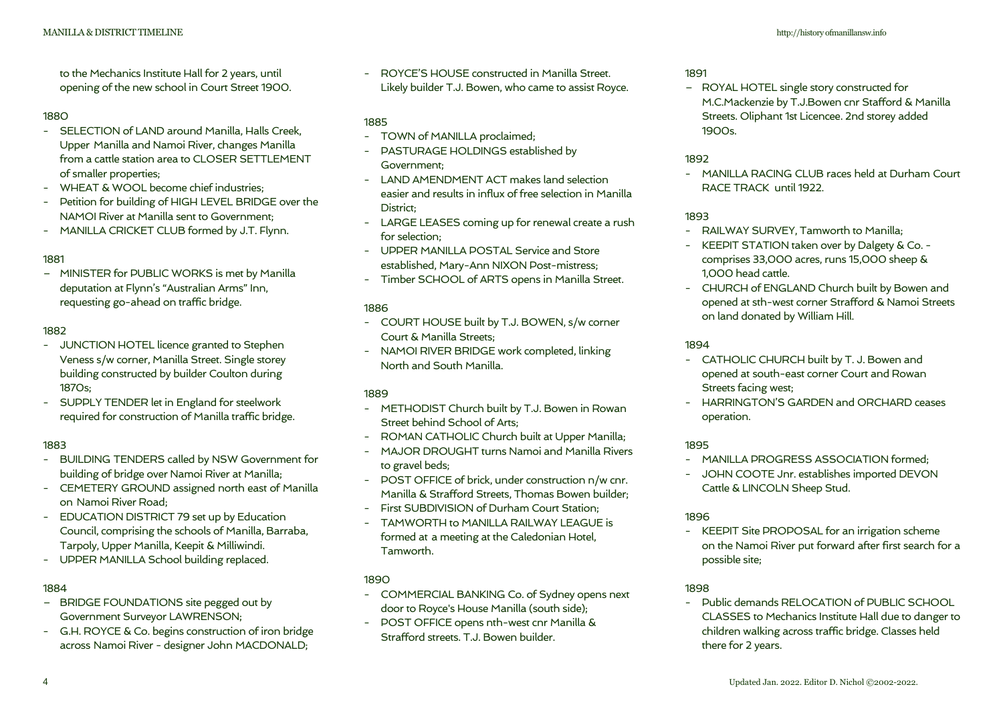to the Mechanics Institute Hall for 2 years, until 

opening of the new school in Court Street 1900.

#### 1880

- SELECTION of LAND around Manilla, Halls Creek, Upper Manilla and Namoi River, changes Manilla from a cattle station area to CLOSER SETTLEMENT of smaller properties;
- WHEAT & WOOL become chief industries;
- Petition for building of HIGH LEVEL BRIDGE over the NAMOI River at Manilla sent to Government;
- MANILLA CRICKET CLUB formed by J.T. Flynn.

## 1881

– MINISTER for PUBLIC WORKS is met by Manilla deputation at Flynn's "Australian Arms" Inn, requesting go-ahead on traffic bridge.

## 1882

- JUNCTION HOTEL licence granted to Stephen Veness s/w corner, Manilla Street. Single storey building constructed by builder Coulton during 1870s;
- SUPPLY TENDER let in England for steelwork required for construction of Manilla traffic bridge.

## 1883

- BUILDING TENDERS called by NSW Government for building of bridge over Namoi River at Manilla;
- CEMETERY GROUND assigned north east of Manilla on Namoi River Road;
- EDUCATION DISTRICT 79 set up by Education Council, comprising the schools of Manilla, Barraba, Tarpoly, Upper Manilla, Keepit & Milliwindi.
- UPPER MANILLA School building replaced.

## 1884

- BRIDGE FOUNDATIONS site pegged out by Government Surveyor LAWRENSON;
- G.H. ROYCE & Co. begins construction of iron bridge across Namoi River - designer John MACDONALD;

- ROYCE'S HOUSE constructed in Manilla Street. Likely builder T.J. Bowen, who came to assist Royce.

## 1885

- TOWN of MANILLA proclaimed;
- PASTURAGE HOLDINGS established by Government;
- LAND AMENDMENT ACT makes land selection easier and results in influx of free selection in Manilla District;
- LARGE LEASES coming up for renewal create a rush for selection;
- UPPER MANILLA POSTAL Service and Store established, Mary-Ann NIXON Post-mistress;
- Timber SCHOOL of ARTS opens in Manilla Street.

## 1886

- COURT HOUSE built by T.J. BOWEN, s/w corner Court & Manilla Streets;
- NAMOI RIVER BRIDGE work completed, linking North and South Manilla.

## 1889

- METHODIST Church built by T.J. Bowen in Rowan Street behind School of Arts;
- ROMAN CATHOLIC Church built at Upper Manilla;
- MAJOR DROUGHT turns Namoi and Manilla Rivers to gravel beds;
- POST OFFICE of brick, under construction n/w cnr. Manilla & Strafford Streets, Thomas Bowen builder;
- First SUBDIVISION of Durham Court Station;
- TAMWORTH to MANILLA RAILWAY LEAGUE is formed at a meeting at the Caledonian Hotel, Tamworth.

## 1890

- COMMERCIAL BANKING Co. of Sydney opens next door to Royce's House Manilla (south side);
- POST OFFICE opens nth-west cnr Manilla & Strafford streets. T.J. Bowen builder.

#### 1891

– ROYAL HOTEL single story constructed for M.C.Mackenzie by T.J.Bowen cnr Stafford & Manilla Streets. Oliphant 1st Licencee. 2nd storey added 1900s.

#### 1892

- MANILLA RACING CLUB races held at Durham Court RACE TRACK until 1922.

## 1893

- RAILWAY SURVEY, Tamworth to Manilla;
- KEEPIT STATION taken over by Dalgety & Co. comprises 33,000 acres, runs 15,000 sheep & 1,000 head cattle.
- CHURCH of ENGLAND Church built by Bowen and opened at sth-west corner Strafford & Namoi Streets on land donated by William Hill.

## 1894

- CATHOLIC CHURCH built by T. J. Bowen and opened at south-east corner Court and Rowan Streets facing west;
- HARRINGTON'S GARDEN and ORCHARD ceases operation.

## 1895

- MANILLA PROGRESS ASSOCIATION formed;
- JOHN COOTE Jnr. establishes imported DEVON Cattle & LINCOLN Sheep Stud.

## 1896

- KEEPIT Site PROPOSAL for an irrigation scheme on the Namoi River put forward after first search for a possible site;

#### 1898

- Public demands RELOCATION of PUBLIC SCHOOL CLASSES to Mechanics Institute Hall due to danger to children walking across traffic bridge. Classes held there for 2 years.